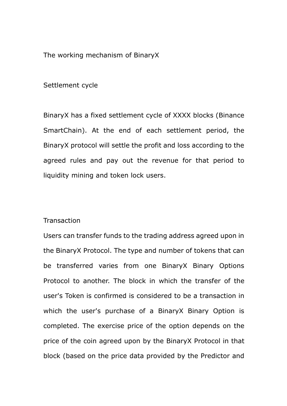The working mechanism of BinaryX

Settlement cycle

BinaryX has a fixed settlement cycle of XXXX blocks (Binance SmartChain). At the end of each settlement period, the BinaryX protocol will settle the profit and loss according to the agreed rules and pay out the revenue for that period to liquidity mining and token lock users.

## **Transaction**

Users can transfer funds to the trading address agreed upon in the BinaryX Protocol. The type and number of tokens that can be transferred varies from one BinaryX Binary Options Protocol to another. The block in which the transfer of the user's Token is confirmed is considered to be a transaction in which the user's purchase of a BinaryX Binary Option is completed. The exercise price of the option depends on the price of the coin agreed upon by the BinaryX Protocol in that block (based on the price data provided by the Predictor and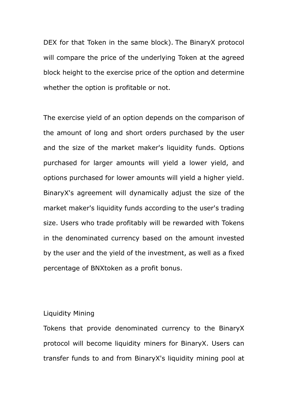DEX for that Token in the same block). The BinaryX protocol will compare the price of the underlying Token at the agreed block height to the exercise price of the option and determine whether the option is profitable or not.

The exercise yield of an option depends on the comparison of the amount of long and short orders purchased by the user and the size of the market maker's liquidity funds. Options purchased for larger amounts will yield a lower yield, and options purchased for lower amounts will yield a higher yield. BinaryX's agreement will dynamically adjust the size of the market maker's liquidity funds according to the user's trading size. Users who trade profitably will be rewarded with Tokens in the denominated currency based on the amount invested by the user and the yield of the investment, as well as a fixed percentage of BNXtoken as a profit bonus.

## Liquidity Mining

Tokens that provide denominated currency to the BinaryX protocol will become liquidity miners for BinaryX. Users can transfer funds to and from BinaryX's liquidity mining pool at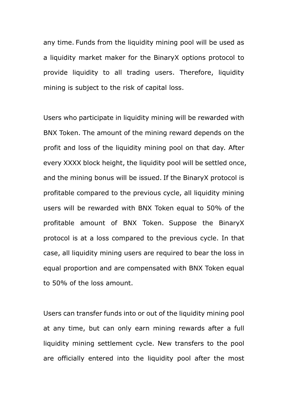any time. Funds from the liquidity mining pool will be used as a liquidity market maker for the BinaryX options protocol to provide liquidity to all trading users. Therefore, liquidity mining is subject to the risk of capital loss.

Users who participate in liquidity mining will be rewarded with BNX Token. The amount of the mining reward depends on the profit and loss of the liquidity mining pool on that day. After every XXXX block height, the liquidity pool will be settled once, and the mining bonus will be issued. If the BinaryX protocol is profitable compared to the previous cycle, all liquidity mining users will be rewarded with BNX Token equal to 50% of the profitable amount of BNX Token. Suppose the BinaryX protocol is at a loss compared to the previous cycle. In that case, all liquidity mining users are required to bear the loss in equal proportion and are compensated with BNX Token equal to 50% of the loss amount.

Users can transfer funds into or out of the liquidity mining pool at any time, but can only earn mining rewards after a full liquidity mining settlement cycle. New transfers to the pool are officially entered into the liquidity pool after the most